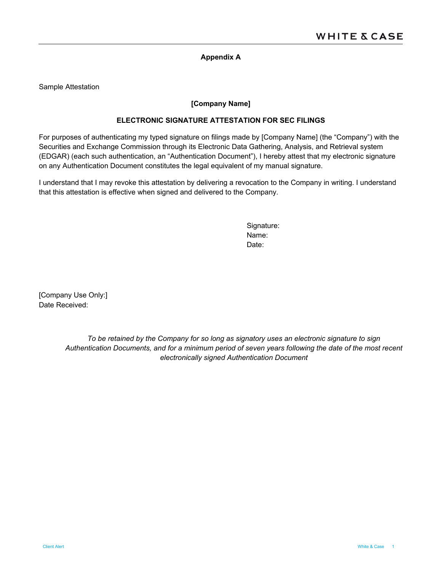# **Appendix A**

Sample Attestation

# **[Company Name]**

# **ELECTRONIC SIGNATURE ATTESTATION FOR SEC FILINGS**

For purposes of authenticating my typed signature on filings made by [Company Name] (the "Company") with the Securities and Exchange Commission through its Electronic Data Gathering, Analysis, and Retrieval system (EDGAR) (each such authentication, an "Authentication Document"), I hereby attest that my electronic signature on any Authentication Document constitutes the legal equivalent of my manual signature.

I understand that I may revoke this attestation by delivering a revocation to the Company in writing. I understand that this attestation is effective when signed and delivered to the Company.

> Signature: Name: Date:

[Company Use Only:] Date Received:

> *To be retained by the Company for so long as signatory uses an electronic signature to sign Authentication Documents, and for a minimum period of seven years following the date of the most recent electronically signed Authentication Document*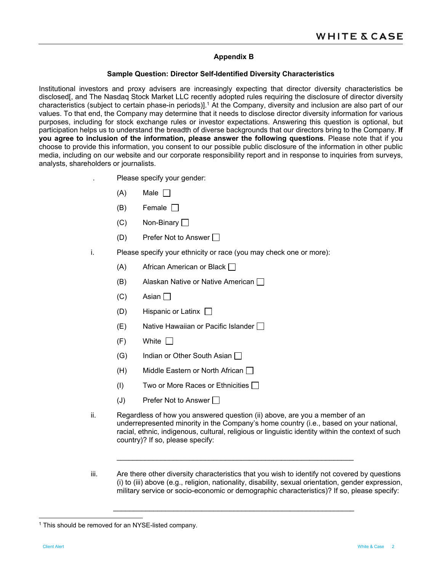# **Appendix B**

## **Sample Question: Director Self-Identified Diversity Characteristics**

Institutional investors and proxy advisers are increasingly expecting that director diversity characteristics be disclosed[, and The Nasdaq Stock Market LLC recently adopted rules requiring the disclosure of director diversity characteristics (subject to certain phase-in periods)].1 At the Company, diversity and inclusion are also part of our values. To that end, the Company may determine that it needs to disclose director diversity information for various purposes, including for stock exchange rules or investor expectations. Answering this question is optional, but participation helps us to understand the breadth of diverse backgrounds that our directors bring to the Company. **If you agree to inclusion of the information, please answer the following questions**. Please note that if you choose to provide this information, you consent to our possible public disclosure of the information in other public media, including on our website and our corporate responsibility report and in response to inquiries from surveys, analysts, shareholders or journalists.

. Please specify your gender:

- $(A)$  Male  $\Box$
- $(B)$  Female  $\Box$
- $(C)$  Non-Binary  $\Box$
- (D) Prefer Not to Answer  $\Box$
- i. Please specify your ethnicity or race (you may check one or more):
	- $(A)$  African American or Black  $\Box$
	- (B) Alaskan Native or Native American  $\Box$
	- $(C)$  Asian  $\Box$
	- $(D)$  Hispanic or Latinx  $\Box$
	- $(E)$  Native Hawaiian or Pacific Islander  $\Box$
	- $(F)$  White  $\Box$
	- $(G)$  Indian or Other South Asian  $\Box$
	- $(H)$  Middle Eastern or North African  $\Box$
	- (I) Two or More Races or Ethnicities  $\Box$
	- $(J)$  Prefer Not to Answer  $\Box$
- ii. Regardless of how you answered question (ii) above, are you a member of an underrepresented minority in the Company's home country (i.e., based on your national, racial, ethnic, indigenous, cultural, religious or linguistic identity within the context of such country)? If so, please specify:

 $\mathcal{L}_\text{max}$  and  $\mathcal{L}_\text{max}$  and  $\mathcal{L}_\text{max}$  and  $\mathcal{L}_\text{max}$  and  $\mathcal{L}_\text{max}$  and  $\mathcal{L}_\text{max}$ 

iii. Are there other diversity characteristics that you wish to identify not covered by questions (i) to (iii) above (e.g., religion, nationality, disability, sexual orientation, gender expression, military service or socio-economic or demographic characteristics)? If so, please specify:

l

<sup>&</sup>lt;sup>1</sup> This should be removed for an NYSE-listed company.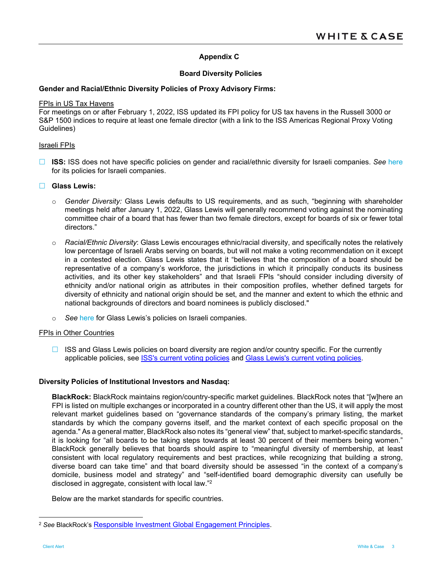# **Appendix C**

## **Board Diversity Policies**

## **Gender and Racial/Ethnic Diversity Policies of Proxy Advisory Firms:**

#### FPIs in US Tax Havens

For meetings on or after February 1, 2022, ISS updated its FPI policy for US tax havens in the Russell 3000 or S&P 1500 indices to require at least one female director (with a link to the ISS Americas Regional Proxy Voting Guidelines)

#### Israeli FPIs

 **ISS:** ISS does not have specific policies on gender and racial/ethnic diversity for Israeli companies. *See* here for its policies for Israeli companies.

#### **Glass Lewis:**

- o *Gender Diversity:* Glass Lewis defaults to US requirements, and as such, "beginning with shareholder meetings held after January 1, 2022, Glass Lewis will generally recommend voting against the nominating committee chair of a board that has fewer than two female directors, except for boards of six or fewer total directors."
- o *Racial/Ethnic Diversity*: Glass Lewis encourages ethnic/racial diversity, and specifically notes the relatively low percentage of Israeli Arabs serving on boards, but will not make a voting recommendation on it except in a contested election. Glass Lewis states that it "believes that the composition of a board should be representative of a company's workforce, the jurisdictions in which it principally conducts its business activities, and its other key stakeholders" and that Israeli FPIs "should consider including diversity of ethnicity and/or national origin as attributes in their composition profiles, whether defined targets for diversity of ethnicity and national origin should be set, and the manner and extent to which the ethnic and national backgrounds of directors and board nominees is publicly disclosed."
- See here for Glass Lewis's policies on Israeli companies.

#### FPIs in Other Countries

 $\Box$  ISS and Glass Lewis policies on board diversity are region and/or country specific. For the currently applicable policies, see ISS's current voting policies and Glass Lewis's current voting policies.

#### **Diversity Policies of Institutional Investors and Nasdaq:**

**BlackRock:** BlackRock maintains region/country-specific market guidelines. BlackRock notes that "[w]here an FPI is listed on multiple exchanges or incorporated in a country different other than the US, it will apply the most relevant market guidelines based on "governance standards of the company's primary listing, the market standards by which the company governs itself, and the market context of each specific proposal on the agenda." As a general matter, BlackRock also notes its "general view" that, subject to market-specific standards, it is looking for "all boards to be taking steps towards at least 30 percent of their members being women." BlackRock generally believes that boards should aspire to "meaningful diversity of membership, at least consistent with local regulatory requirements and best practices, while recognizing that building a strong, diverse board can take time" and that board diversity should be assessed "in the context of a company's domicile, business model and strategy" and "self-identified board demographic diversity can usefully be disclosed in aggregate, consistent with local law."2

Below are the market standards for specific countries.

l

<sup>2</sup> *See* BlackRock's Responsible Investment Global Engagement Principles.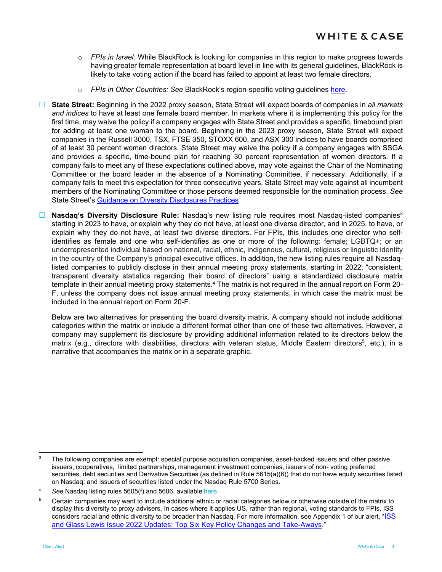- o *FPIs in Israel:* While BlackRock is looking for companies in this region to make progress towards having greater female representation at board level in line with its general guidelines, BlackRock is likely to take voting action if the board has failed to appoint at least two female directors.
- o *FPIs in Other Countries: See* BlackRock's region-specific voting guidelines here.
- **State Street:** Beginning in the 2022 proxy season, State Street will expect boards of companies in *all markets and indices* to have at least one female board member. In markets where it is implementing this policy for the first time, may waive the policy if a company engages with State Street and provides a specific, timebound plan for adding at least one woman to the board. Beginning in the 2023 proxy season, State Street will expect companies in the Russell 3000, TSX, FTSE 350, STOXX 600, and ASX 300 indices to have boards comprised of at least 30 percent women directors. State Street may waive the policy if a company engages with SSGA and provides a specific, time-bound plan for reaching 30 percent representation of women directors. If a company fails to meet any of these expectations outlined above, may vote against the Chair of the Nominating Committee or the board leader in the absence of a Nominating Committee, if necessary. Additionally, if a company fails to meet this expectation for three consecutive years, State Street may vote against all incumbent members of the Nominating Committee or those persons deemed responsible for the nomination process. *See* State Street's Guidance on Diversity Disclosures Practices
- **Nasdaq's Diversity Disclosure Rule:** Nasdaq's new listing rule requires most Nasdaq-listed companies<sup>3</sup> starting in 2023 to have, or explain why they do not have, at least one diverse director, and in 2025, to have, or explain why they do not have, at least two diverse directors. For FPIs, this includes one director who selfidentifies as female and one who self-identifies as one or more of the following: female; LGBTQ+; or an underrepresented individual based on national, racial, ethnic, indigenous, cultural, religious or linguistic identity in the country of the Company's principal executive offices. In addition, the new listing rules require all Nasdaqlisted companies to publicly disclose in their annual meeting proxy statements, starting in 2022, "consistent, transparent diversity statistics regarding their board of directors" using a standardized disclosure matrix template in their annual meeting proxy statements.<sup>4</sup> The matrix is not required in the annual report on Form 20-F, unless the company does not issue annual meeting proxy statements, in which case the matrix must be included in the annual report on Form 20-F.

Below are two alternatives for presenting the board diversity matrix. A company should not include additional categories within the matrix or include a different format other than one of these two alternatives. However, a company may supplement its disclosure by providing additional information related to its directors below the matrix (e.g., directors with disabilities, directors with veteran status, Middle Eastern directors<sup>5</sup>, etc.), in a narrative that accompanies the matrix or in a separate graphic.

<sup>3</sup> The following companies are exempt: special purpose acquisition companies, asset-backed issuers and other passive issuers, cooperatives, limited partnerships, management investment companies, issuers of non- voting preferred securities, debt securities and Derivative Securities (as defined in Rule 5615(a)(6)) that do not have equity securities listed on Nasdaq; and issuers of securities listed under the Nasdaq Rule 5700 Series.

<sup>4</sup> *See* Nasdaq listing rules 5605(f) and 5606, available here.

<sup>&</sup>lt;sup>5</sup> Certain companies may want to include additional ethnic or racial categories below or otherwise outside of the matrix to display this diversity to proxy advisers. In cases where it applies US, rather than regional, voting standards to FPIs, ISS considers racial and ethnic diversity to be broader than Nasdaq. For more information, see Appendix 1 of our alert, "ISS and Glass Lewis Issue 2022 Updates: Top Six Key Policy Changes and Take-Aways."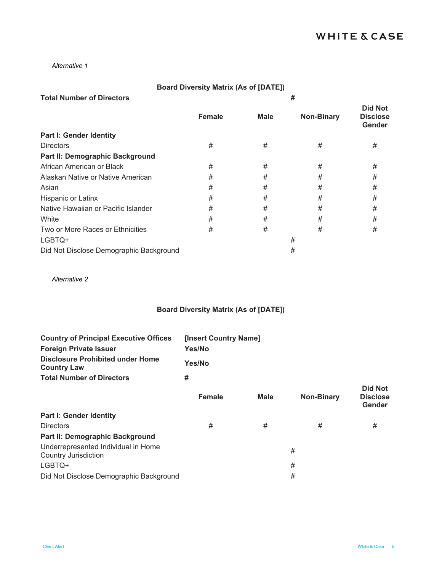## *Alternative 1*

# **Board Diversity Matrix (As of [DATE])**

| <b>Total Number of Directors</b> |  |
|----------------------------------|--|
|                                  |  |

|                                         | <b>Female</b> | <b>Male</b> | <b>Non-Binary</b> | <b>Did Not</b><br><b>Disclose</b><br><b>Gender</b> |
|-----------------------------------------|---------------|-------------|-------------------|----------------------------------------------------|
| <b>Part I: Gender Identity</b>          |               |             |                   |                                                    |
| <b>Directors</b>                        | #             | #           | #                 | #                                                  |
| Part II: Demographic Background         |               |             |                   |                                                    |
| African American or Black               | #             | #           | #                 | #                                                  |
| Alaskan Native or Native American       | #             | #           | #                 | #                                                  |
| Asian                                   | #             | #           | #                 | #                                                  |
| <b>Hispanic or Latinx</b>               | #             | #           | #                 | #                                                  |
| Native Hawaiian or Pacific Islander     | #             | #           | #                 | #                                                  |
| White                                   | #             | #           | #                 | #                                                  |
| Two or More Races or Ethnicities        | #             | #           | #                 | #                                                  |
| LGBTQ+                                  |               | #           |                   |                                                    |
| Did Not Disclose Demographic Background |               | #           |                   |                                                    |

## *Alternative 2*

# **Board Diversity Matrix (As of [DATE])**

| <b>Country of Principal Executive Offices</b><br><b>Foreign Private Issuer</b> | <b>[Insert Country Name]</b><br>Yes/No |             |                   |                                      |  |
|--------------------------------------------------------------------------------|----------------------------------------|-------------|-------------------|--------------------------------------|--|
| <b>Disclosure Prohibited under Home</b><br><b>Country Law</b>                  | Yes/No                                 |             |                   |                                      |  |
| <b>Total Number of Directors</b>                                               | #                                      |             |                   |                                      |  |
|                                                                                | <b>Female</b>                          | <b>Male</b> | <b>Non-Binary</b> | Did Not<br><b>Disclose</b><br>Gender |  |
| <b>Part I: Gender Identity</b>                                                 |                                        |             |                   |                                      |  |
| <b>Directors</b>                                                               | #                                      | #           | #                 | #                                    |  |
| Part II: Demographic Background                                                |                                        |             |                   |                                      |  |
| Underrepresented Individual in Home<br>Country Jurisdiction                    |                                        |             | #                 |                                      |  |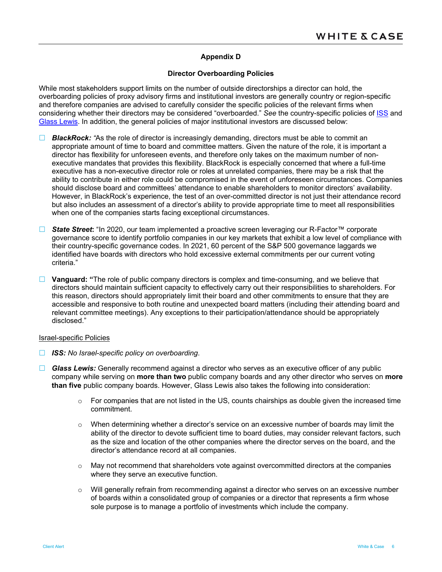# **Appendix D**

## **Director Overboarding Policies**

While most stakeholders support limits on the number of outside directorships a director can hold, the overboarding policies of proxy advisory firms and institutional investors are generally country or region-specific and therefore companies are advised to carefully consider the specific policies of the relevant firms when considering whether their directors may be considered "overboarded." *See* the country-specific policies of ISS and Glass Lewis. In addition, the general policies of major institutional investors are discussed below:

- *BlackRock: "*As the role of director is increasingly demanding, directors must be able to commit an appropriate amount of time to board and committee matters. Given the nature of the role, it is important a director has flexibility for unforeseen events, and therefore only takes on the maximum number of nonexecutive mandates that provides this flexibility. BlackRock is especially concerned that where a full-time executive has a non-executive director role or roles at unrelated companies, there may be a risk that the ability to contribute in either role could be compromised in the event of unforeseen circumstances. Companies should disclose board and committees' attendance to enable shareholders to monitor directors' availability. However, in BlackRock's experience, the test of an over-committed director is not just their attendance record but also includes an assessment of a director's ability to provide appropriate time to meet all responsibilities when one of the companies starts facing exceptional circumstances.
- *State Street***:** "In 2020, our team implemented a proactive screen leveraging our R-Factor™ corporate governance score to identify portfolio companies in our key markets that exhibit a low level of compliance with their country-specific governance codes. In 2021, 60 percent of the S&P 500 governance laggards we identified have boards with directors who hold excessive external commitments per our current voting criteria."
- **Vanguard: "**The role of public company directors is complex and time-consuming, and we believe that directors should maintain sufficient capacity to effectively carry out their responsibilities to shareholders. For this reason, directors should appropriately limit their board and other commitments to ensure that they are accessible and responsive to both routine and unexpected board matters (including their attending board and relevant committee meetings). Any exceptions to their participation/attendance should be appropriately disclosed."

## Israel-specific Policies

- *ISS: No Israel-specific policy on overboarding*.
- *Glass Lewis:* Generally recommend against a director who serves as an executive officer of any public company while serving on **more than two** public company boards and any other director who serves on **more than five** public company boards. However, Glass Lewis also takes the following into consideration:
	- $\circ$  For companies that are not listed in the US, counts chairships as double given the increased time commitment.
	- $\circ$  When determining whether a director's service on an excessive number of boards may limit the ability of the director to devote sufficient time to board duties, may consider relevant factors, such as the size and location of the other companies where the director serves on the board, and the director's attendance record at all companies.
	- $\circ$  May not recommend that shareholders vote against overcommitted directors at the companies where they serve an executive function.
	- $\circ$  Will generally refrain from recommending against a director who serves on an excessive number of boards within a consolidated group of companies or a director that represents a firm whose sole purpose is to manage a portfolio of investments which include the company.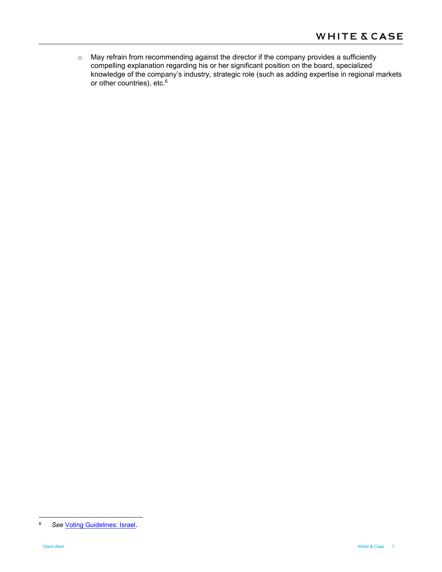o May refrain from recommending against the director if the company provides a sufficiently compelling explanation regarding his or her significant position on the board, specialized knowledge of the company's industry, strategic role (such as adding expertise in regional markets or other countries), etc.<sup>6</sup>

 $6\phantom{a}$ See **Voting Guidelines: Israel.**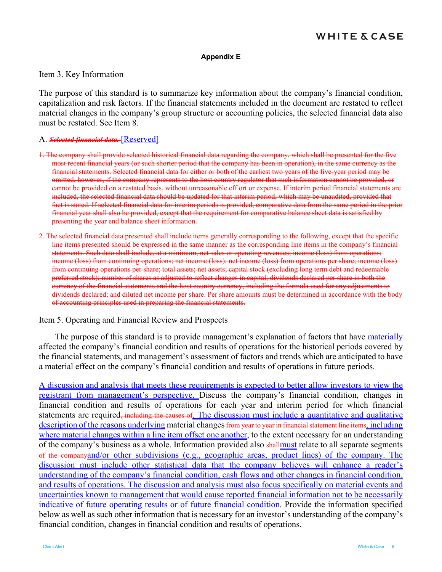# **Appendix E**

Item 3. Key Information

The purpose of this standard is to summarize key information about the company's financial condition, capitalization and risk factors. If the financial statements included in the document are restated to reflect material changes in the company's group structure or accounting policies, the selected financial data also must be restated. See Item 8.

# A. **Selected financial data.** [Reserved]

- 1. The company shall provide selected historical financial data regarding the company, which shall be presented for the five most recent financial years (or such shorter period that the company has been in operation), in the same currency as the financial statements. Selected financial data for either or both of the earliest two years of the five-year period may be omitted, however, if the company represents to the host country regulator that such information cannot be provided, or cannot be provided on a restated basis, without unreasonable eff ort or expense. If interim period financial statements are included, the selected financial data should be updated for that interim period, which may be unaudited, provided that fact is stated. If selected financial data for interim periods is provided, comparative data from the same period in the prior financial year shall also be provided, except that the requirement for comparative balance sheet data is satisfied by presenting the year end balance sheet information.
- 2. The selected financial data presented shall include items generally corresponding to the following, except that the specific line items presented should be expressed in the same manner as the corresponding line items in the company's financial statements. Such data shall include, at a minimum, net sales or operating revenues; income (loss) from operations; income (loss) from continuing operations; net income (loss); net income (loss) from operations per share; income (loss) from continuing operations per share; total assets; net assets; capital stock (excluding long term debt and redeemable preferred stock); number of shares as adjusted to reflect changes in capital; dividends declared per share in both the currency of the financial statements and the host country currency, including the formula used for any adjustments to dividends declared; and diluted net income per share. Per share amounts must be determined in accordance with the body of accounting principles used in preparing the financial statements.

# Item 5. Operating and Financial Review and Prospects

The purpose of this standard is to provide management's explanation of factors that have materially affected the company's financial condition and results of operations for the historical periods covered by the financial statements, and management's assessment of factors and trends which are anticipated to have a material effect on the company's financial condition and results of operations in future periods.

A discussion and analysis that meets these requirements is expected to better allow investors to view the registrant from management's perspective. Discuss the company's financial condition, changes in financial condition and results of operations for each year and interim period for which financial statements are required<del>, including the causes of</del>. The discussion must include a quantitative and qualitative description of the reasons underlying material changes from year to year in financial statement line items, including where material changes within a line item offset one another, to the extent necessary for an understanding of the company's business as a whole. Information provided also shall must relate to all separate segments of the companyand/or other subdivisions (e.g., geographic areas, product lines) of the company. The discussion must include other statistical data that the company believes will enhance a reader's understanding of the company's financial condition, cash flows and other changes in financial condition, and results of operations. The discussion and analysis must also focus specifically on material events and uncertainties known to management that would cause reported financial information not to be necessarily indicative of future operating results or of future financial condition. Provide the information specified below as well as such other information that is necessary for an investor's understanding of the company's financial condition, changes in financial condition and results of operations.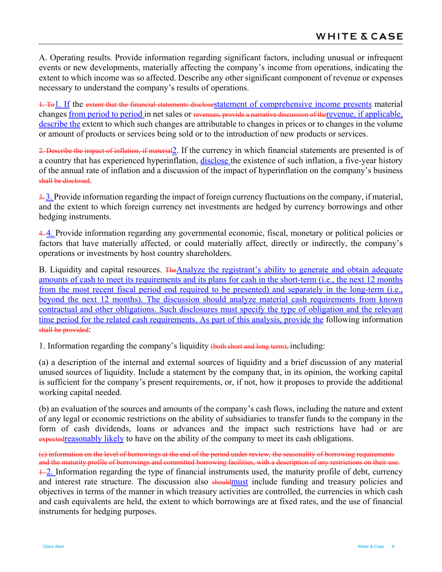A. Operating results. Provide information regarding significant factors, including unusual or infrequent events or new developments, materially affecting the company's income from operations, indicating the extent to which income was so affected. Describe any other significant component of revenue or expenses necessary to understand the company's results of operations.

1. To1. If the extent that the financial statements disclosestatement of comprehensive income presents material changes from period to period in net sales or revenues, provide a narrative discussion of the revenue, if applicable, describe the extent to which such changes are attributable to changes in prices or to changes in the volume or amount of products or services being sold or to the introduction of new products or services.

2. Describe the impact of inflation, if material 2. If the currency in which financial statements are presented is of a country that has experienced hyperinflation, disclose the existence of such inflation, a five-year history of the annual rate of inflation and a discussion of the impact of hyperinflation on the company's business shall be disclosed.

3. Provide information regarding the impact of foreign currency fluctuations on the company, if material, and the extent to which foreign currency net investments are hedged by currency borrowings and other hedging instruments.

4. 4. Provide information regarding any governmental economic, fiscal, monetary or political policies or factors that have materially affected, or could materially affect, directly or indirectly, the company's operations or investments by host country shareholders.

B. Liquidity and capital resources. TheAnalyze the registrant's ability to generate and obtain adequate amounts of cash to meet its requirements and its plans for cash in the short-term (i.e., the next 12 months from the most recent fiscal period end required to be presented) and separately in the long-term (i.e., beyond the next 12 months). The discussion should analyze material cash requirements from known contractual and other obligations. Such disclosures must specify the type of obligation and the relevant time period for the related cash requirements. As part of this analysis, provide the following information shall be provided:

1. Information regarding the company's liquidity (both short and long term), including:

(a) a description of the internal and external sources of liquidity and a brief discussion of any material unused sources of liquidity. Include a statement by the company that, in its opinion, the working capital is sufficient for the company's present requirements, or, if not, how it proposes to provide the additional working capital needed.

(b) an evaluation of the sources and amounts of the company's cash flows, including the nature and extent of any legal or economic restrictions on the ability of subsidiaries to transfer funds to the company in the form of cash dividends, loans or advances and the impact such restrictions have had or are expected reasonably likely to have on the ability of the company to meet its cash obligations.

(c) information on the level of borrowings at the end of the period under review, the seasonality of borrowing requirements and the maturity profile of borrowings and committed borrowing facilities, with a description of any restrictions on their use. 1. 2. Information regarding the type of financial instruments used, the maturity profile of debt, currency and interest rate structure. The discussion also should must include funding and treasury policies and objectives in terms of the manner in which treasury activities are controlled, the currencies in which cash and cash equivalents are held, the extent to which borrowings are at fixed rates, and the use of financial instruments for hedging purposes.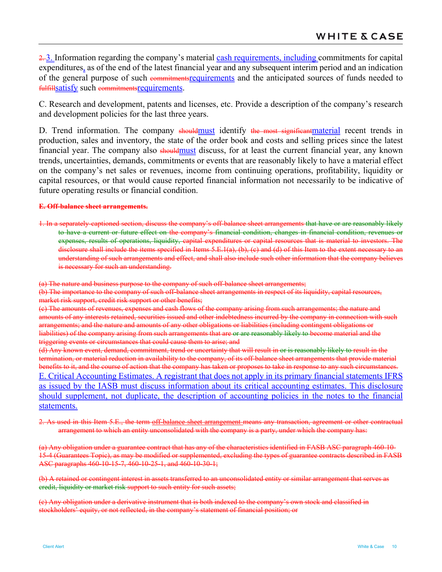2. 3. Information regarding the company's material cash requirements, including commitments for capital expenditures, as of the end of the latest financial year and any subsequent interim period and an indication of the general purpose of such commitments requirements and the anticipated sources of funds needed to fulfillsatisfy such commitmentsrequirements.

C. Research and development, patents and licenses, etc. Provide a description of the company's research and development policies for the last three years.

D. Trend information. The company should must identify the most significant material recent trends in production, sales and inventory, the state of the order book and costs and selling prices since the latest financial year. The company also should must discuss, for at least the current financial year, any known trends, uncertainties, demands, commitments or events that are reasonably likely to have a material effect on the company's net sales or revenues, income from continuing operations, profitability, liquidity or capital resources, or that would cause reported financial information not necessarily to be indicative of future operating results or financial condition.

## **E. Off-balance sheet arrangements.**

1. In a separately-captioned section, discuss the company's off-balance sheet arrangements that have or are reasonably likely to have a current or future effect on the company's financial condition, changes in financial condition, revenues or expenses, results of operations, liquidity, capital expenditures or capital resources that is material to investors. The disclosure shall include the items specified in Items 5.E.1(a), (b), (c) and (d) of this Item to the extent necessary to an understanding of such arrangements and effect, and shall also include such other information that the company believes is necessary for such an understanding.

(a) The nature and business purpose to the company of such off-balance sheet arrangements;

(b) The importance to the company of such off-balance sheet arrangements in respect of its liquidity, capital resources, market risk support, credit risk support or other benefits;

(c) The amounts of revenues, expenses and cash flows of the company arising from such arrangements; the nature and amounts of any interests retained, securities issued and other indebtedness incurred by the company in connection with such arrangements; and the nature and amounts of any other obligations or liabilities (including contingent obligations or liabilities) of the company arising from such arrangements that are or are reasonably likely to become material and the triggering events or circumstances that could cause them to arise; and

(d) Any known event, demand, commitment, trend or uncertainty that will result in or is reasonably likely to result in the termination, or material reduction in availability to the company, of its off-balance sheet arrangements that provide material benefits to it, and the course of action that the company has taken or proposes to take in response to any such circumstance E. Critical Accounting Estimates. A registrant that does not apply in its primary financial statements IFRS as issued by the IASB must discuss information about its critical accounting estimates. This disclosure should supplement, not duplicate, the description of accounting policies in the notes to the financial statements.

2. As used in this Item 5.E., the term off balance sheet arrangement means any transaction, agreement or other contractual arrangement to which an entity unconsolidated with the company is a party, under which the company has:

(a) Any obligation under a guarantee contract that has any of the characteristics identified in FASB ASC paragraph 460-10- 15-4 (Guarantees Topic), as may be modified or supplemented, excluding the types of guarantee contracts described in FASB ASC paragraphs 460-10-15-7, 460-10-25-1, and 460-10-30-1;

(b) A retained or contingent interest in assets transferred to an unconsolidated entity or similar arrangement that serves as credit, liquidity or market risk support to such entity for such assets;

(c) Any obligation under a derivative instrument that is both indexed to the company's own stock and classified in stockholders' equity, or not reflected, in the company's statement of financial position; or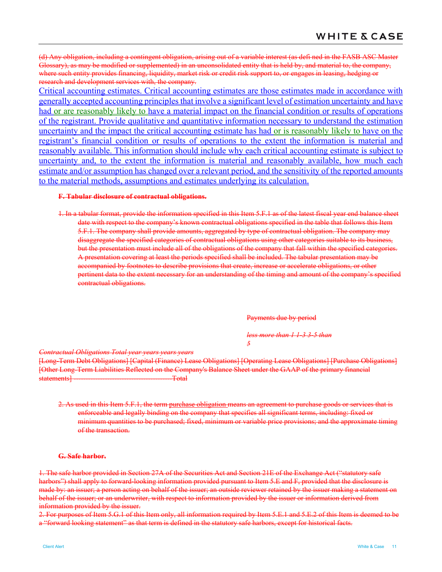(d) Any obligation, including a contingent obligation, arising out of a variable interest (as defi ned in the FASB ASC Master Glossary), as may be modified or supplemented) in an unconsolidated entity that is held by, and material to, the company, where such entity provides financing, liquidity, market risk or credit risk support to, or engages in leasing, hedging or research and development services with, the company.

Critical accounting estimates. Critical accounting estimates are those estimates made in accordance with generally accepted accounting principles that involve a significant level of estimation uncertainty and have had or are reasonably likely to have a material impact on the financial condition or results of operations of the registrant. Provide qualitative and quantitative information necessary to understand the estimation uncertainty and the impact the critical accounting estimate has had or is reasonably likely to have on the registrant's financial condition or results of operations to the extent the information is material and reasonably available. This information should include why each critical accounting estimate is subject to uncertainty and, to the extent the information is material and reasonably available, how much each estimate and/or assumption has changed over a relevant period, and the sensitivity of the reported amounts to the material methods, assumptions and estimates underlying its calculation.

#### **F. Tabular disclosure of contractual obligations.**

1. In a tabular format, provide the information specified in this Item 5.F.1 as of the latest fiscal year end balance sheet date with respect to the company's known contractual obligations specified in the table that follows this Item 5.F.1. The company shall provide amounts, aggregated by type of contractual obligation. The company may disaggregate the specified categories of contractual obligations using other categories suitable to its business, but the presentation must include all of the obligations of the company that fall within the specified categories. A presentation covering at least the periods specified shall be included. The tabular presentation may be accompanied by footnotes to describe provisions that create, increase or accelerate obligations, or other pertinent data to the extent necessary for an understanding of the timing and amount of the company's specified contractual obligations.

Payments due by period

*less more than 1 1-3 3-5 than 5* 

#### *Contractual Obligations Total year years years years*

[Long-Term Debt Obligations] [Capital (Finance) Lease Obligations] [Operating Lease Obligations] [Purchase Obligations] [Other Long-Term Liabilities Reflected on the Company's Balance Sheet under the GAAP of the primary financial statements] -----------------------------------------Total

2. As used in this Item 5.F.1, the term purchase obligation means an agreement to purchase goods or services that is enforceable and legally binding on the company that specifies all significant terms, including: fixed or minimum quantities to be purchased; fixed, minimum or variable price provisions; and the approximate timing of the transaction.

#### **G. Safe harbor.**

1. The safe harbor provided in Section 27A of the Securities Act and Section 21E of the Exchange Act ("statutory safe harbors") shall apply to forward-looking information provided pursuant to Item 5.E and F, provided that the disclosure is made by: an issuer; a person acting on behalf of the issuer; an outside reviewer retained by the issuer making a statement on behalf of the issuer; or an underwriter, with respect to information provided by the issuer or information derived from information provided by the issuer.

2. For purposes of Item 5.G.1 of this Item only, all information required by Item 5.E.1 and 5.E.2 of this Item is deemed to be a "forward looking statement" as that term is defined in the statutory safe harbors, except for historical facts.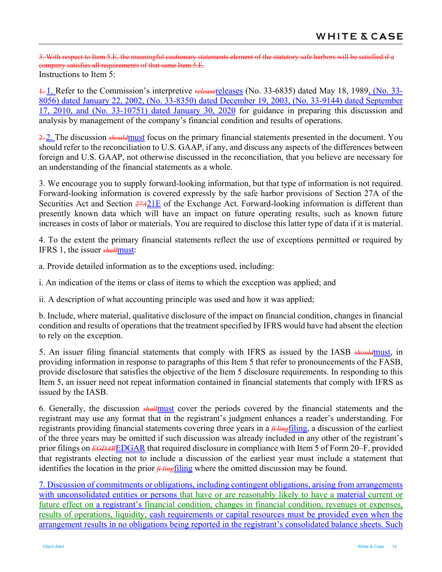3. With respect to Item 5.E, the meaningful cautionary statements element of the statutory safe harbors will be satisfied if a company satisfies all requirements of that same Item 5.E. Instructions to Item 5:

1. 1. Refer to the Commission's interpretive *release*releases (No. 33-6835) dated May 18, 1989, (No. 33- 8056) dated January 22, 2002, (No. 33-8350) dated December 19, 2003, (No. 33-9144) dated September 17, 2010, and (No. 33-10751) dated January 30, 2020 for guidance in preparing this discussion and analysis by management of the company's financial condition and results of operations.

2. 2. The discussion *should*must focus on the primary financial statements presented in the document. You should refer to the reconciliation to U.S. GAAP, if any, and discuss any aspects of the differences between foreign and U.S. GAAP, not otherwise discussed in the reconciliation, that you believe are necessary for an understanding of the financial statements as a whole.

3. We encourage you to supply forward-looking information, but that type of information is not required. Forward-looking information is covered expressly by the safe harbor provisions of Section 27A of the Securities Act and Section *27A*21E of the Exchange Act. Forward-looking information is different than presently known data which will have an impact on future operating results, such as known future increases in costs of labor or materials. You are required to disclose this latter type of data if it is material.

4. To the extent the primary financial statements reflect the use of exceptions permitted or required by IFRS 1, the issuer *shall*must:

a. Provide detailed information as to the exceptions used, including:

i. An indication of the items or class of items to which the exception was applied; and

ii. A description of what accounting principle was used and how it was applied;

b. Include, where material, qualitative disclosure of the impact on financial condition, changes in financial condition and results of operations that the treatment specified by IFRS would have had absent the election to rely on the exception.

5. An issuer filing financial statements that comply with IFRS as issued by the IASB *should*must, in providing information in response to paragraphs of this Item 5 that refer to pronouncements of the FASB, provide disclosure that satisfies the objective of the Item 5 disclosure requirements. In responding to this Item 5, an issuer need not repeat information contained in financial statements that comply with IFRS as issued by the IASB.

6. Generally, the discussion *shall*must cover the periods covered by the financial statements and the registrant may use any format that in the registrant's judgment enhances a reader's understanding. For registrants providing financial statements covering three years in a *fi ling*filing, a discussion of the earliest of the three years may be omitted if such discussion was already included in any other of the registrant's prior filings on *EGDAR*EDGAR that required disclosure in compliance with Item 5 of Form 20–F, provided that registrants electing not to include a discussion of the earliest year must include a statement that identifies the location in the prior *fi ling*filing where the omitted discussion may be found.

7. Discussion of commitments or obligations, including contingent obligations, arising from arrangements with unconsolidated entities or persons that have or are reasonably likely to have a material current or future effect on a registrant's financial condition, changes in financial condition, revenues or expenses, results of operations, liquidity, cash requirements or capital resources must be provided even when the arrangement results in no obligations being reported in the registrant's consolidated balance sheets. Such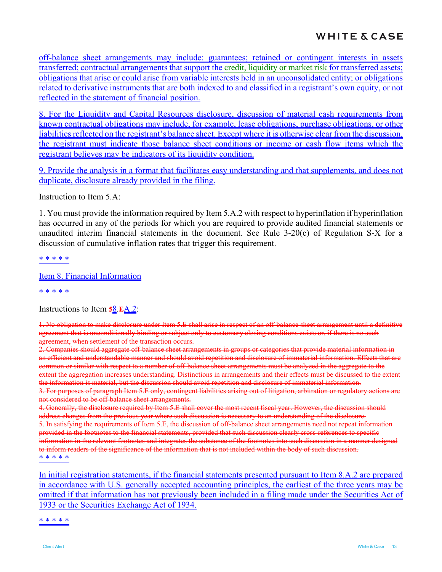off-balance sheet arrangements may include: guarantees; retained or contingent interests in assets transferred; contractual arrangements that support the credit, liquidity or market risk for transferred assets; obligations that arise or could arise from variable interests held in an unconsolidated entity; or obligations related to derivative instruments that are both indexed to and classified in a registrant's own equity, or not reflected in the statement of financial position.

8. For the Liquidity and Capital Resources disclosure, discussion of material cash requirements from known contractual obligations may include, for example, lease obligations, purchase obligations, or other liabilities reflected on the registrant's balance sheet. Except where it is otherwise clear from the discussion, the registrant must indicate those balance sheet conditions or income or cash flow items which the registrant believes may be indicators of its liquidity condition.

9. Provide the analysis in a format that facilitates easy understanding and that supplements, and does not duplicate, disclosure already provided in the filing.

Instruction to Item 5.A:

1. You must provide the information required by Item 5.A.2 with respect to hyperinflation if hyperinflation has occurred in any of the periods for which you are required to provide audited financial statements or unaudited interim financial statements in the document. See Rule  $3-20(c)$  of Regulation S-X for a discussion of cumulative inflation rates that trigger this requirement.

```
* * * * *
```
Item 8. Financial Information

## \* \* \* \* \*

Instructions to Item **5**8.**E**A.2:

1. No obligation to make disclosure under Item 5.E shall arise in respect of an off-balance sheet arrangement until a definitive agreement that is unconditionally binding or subject only to customary closing conditions exists or, if there is no such agreement, when settlement of the transaction occurs.

2. Companies should aggregate off-balance sheet arrangements in groups or categories that provide material information in an efficient and understandable manner and should avoid repetition and disclosure of immaterial information. Effects that are common or similar with respect to a number of off-balance sheet arrangements must be analyzed in the aggregate to the extent the aggregation increases understanding. Distinctions in arrangements and their effects must be discussed to the extent the information is material, but the discussion should avoid repetition and disclosure of immaterial information. 3. For purposes of paragraph Item 5.E only, contingent liabilities arising out of litigation, arbitration or regulatory actions are not considered to be off-balance sheet arrangements.

4. Generally, the disclosure required by Item 5.E shall cover the most recent fiscal year. However, the discussion should address changes from the previous year where such discussion is necessary to an understanding of the disclosure. 5. In satisfying the requirements of Item 5.E, the discussion of off-balance sheet arrangements need not repeat information provided in the footnotes to the financial statements, provided that such discussion clearly cross-references to specific information in the relevant footnotes and integrates the substance of the footnotes into such discussion in a manner designed to inform readers of the significance of the information that is not included within the body of such discussion. \* \* \* \* \*

In initial registration statements, if the financial statements presented pursuant to Item 8.A.2 are prepared in accordance with U.S. generally accepted accounting principles, the earliest of the three years may be omitted if that information has not previously been included in a filing made under the Securities Act of 1933 or the Securities Exchange Act of 1934.

\* \* \* \* \*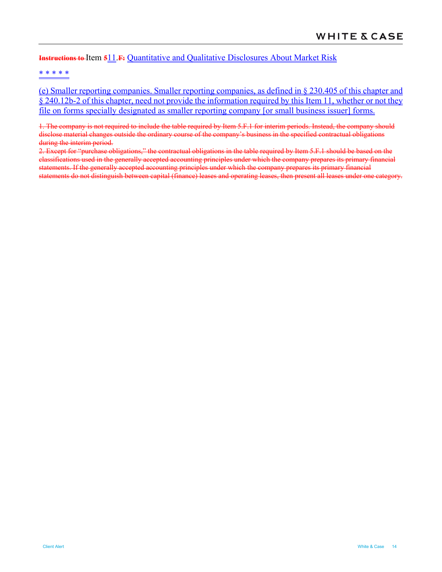**Instructions to** Item **5**11.**F:** Quantitative and Qualitative Disclosures About Market Risk

## \* \* \* \* \*

(e) Smaller reporting companies. Smaller reporting companies, as defined in § 230.405 of this chapter and § 240.12b-2 of this chapter, need not provide the information required by this Item 11, whether or not they file on forms specially designated as smaller reporting company [or small business issuer] forms.

1. The company is not required to include the table required by Item 5.F.1 for interim periods. Instead, the company should disclose material changes outside the ordinary course of the company's business in the specified contractual obligations during the interim period.

2. Except for "purchase obligations," the contractual obligations in the table required by Item 5.F.1 should be based on the classifications used in the generally accepted accounting principles under which the company prepares its primary financial statements. If the generally accepted accounting principles under which the company prepares its primary financial statements do not distinguish between capital (finance) leases and operating leases, then present all leases under one category.